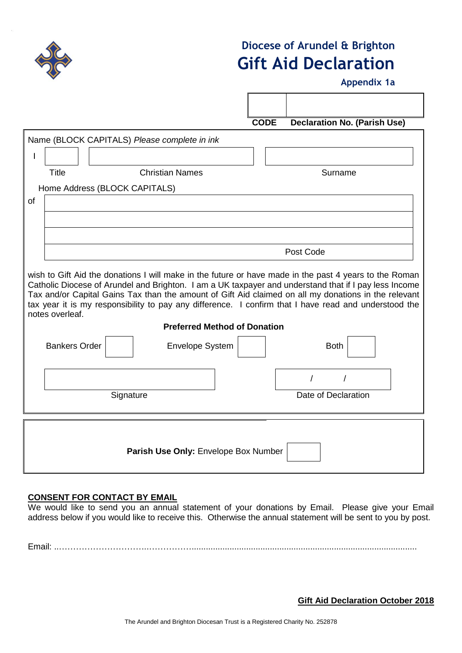

# **Diocese of Arundel & Brighton Gift Aid Declaration**

**Appendix 1a**

|                                              | <b>CODE</b> | <b>Declaration No. (Parish Use)</b> |  |
|----------------------------------------------|-------------|-------------------------------------|--|
| Name (BLOCK CAPITALS) Please complete in ink |             |                                     |  |
|                                              |             |                                     |  |

| Home Address (BLOCK CAPITALS) |
|-------------------------------|
|                               |

of

I

| Post Code                                                                                                                                                                                                                                                                                                                                                                                                                                           |
|-----------------------------------------------------------------------------------------------------------------------------------------------------------------------------------------------------------------------------------------------------------------------------------------------------------------------------------------------------------------------------------------------------------------------------------------------------|
| wish to Gift Aid the donations I will make in the future or have made in the past 4 years to the Roman<br>Catholic Diocese of Arundel and Brighton. I am a UK taxpayer and understand that if I pay less Income<br>Tax and/or Capital Gains Tax than the amount of Gift Aid claimed on all my donations in the relevant<br>tax year it is my responsibility to pay any difference. I confirm that I have read and understood the<br>notes overleaf. |
| <b>Preferred Method of Donation</b>                                                                                                                                                                                                                                                                                                                                                                                                                 |

Title Christian Names Surname

| <b>Bankers Order</b> | Envelope System                      | <b>Both</b>         |
|----------------------|--------------------------------------|---------------------|
| Signature            |                                      | Date of Declaration |
|                      | Parish Use Only: Envelope Box Number |                     |

### **CONSENT FOR CONTACT BY EMAIL**

We would like to send you an annual statement of your donations by Email. Please give your Email address below if you would like to receive this. Otherwise the annual statement will be sent to you by post.

Email: ..…………………………..……………...............................................................................................

**Gift Aid Declaration October 2018**